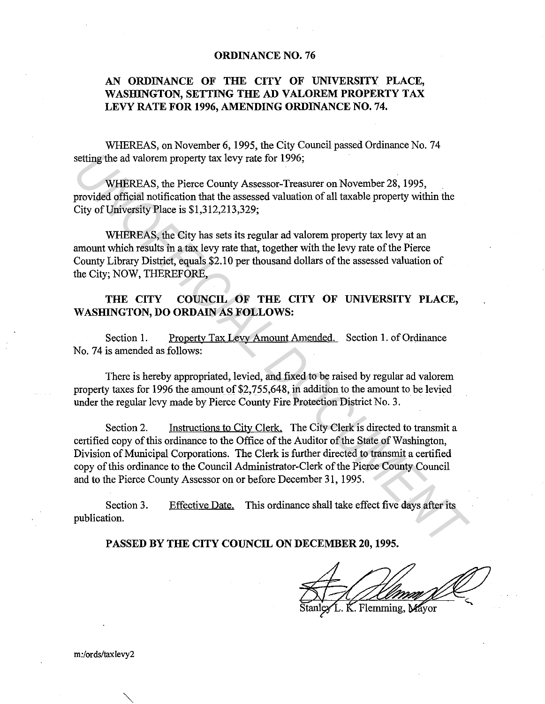## **ORDINANCE NO. 76**

## **AN ORDINANCE OF THE CITY OF UNIVERSITY PLACE, WASHINGTON, SETTING THE AD VALOREM PROPERTY TAX**  LEVY RATE FOR 1996, AMENDING ORDINANCE NO. 74.

WHEREAS, on November 6, 1995, the City Council passed Ordinance No. 74 setting the ad valorem property tax levy rate for 1996;

WHEREAS, the Pierce County Assessor-Treasurer on November 28, 1995, provided official notification that the assessed valuation of all taxable property within the City of University Place is \$1,312,213,329;

WHEREAS, the City has sets its regular ad valorem property tax levy at an amount which results in a tax levy rate that, together with the levy rate of the Pierce County Library District, equals \$2.10 per thousand dollars of the assessed valuation of the City; NOW, THEREFORE,

## **THE CITY COUNCIL OF THE CITY OF UNIVERSITY PLACE, WASHINGTON, DO ORDAIN AS FOLLOWS:**

Section 1. Property Tax Levy Amount Amended. Section 1. of Ordinance No. 74 is amended as follows:

There is hereby appropriated, levied, and fixed to be raised by regular ad valorem property taxes for 1996 the amount of \$2,755,648, in addition to the amount to be levied under the regular levy made by Pierce County Fire Protection District No. 3.

Section 2. Instructions to City Clerk. The City Clerk is directed to transmit a certified copy of this ordinance to the Office of the Auditor of the State of Washington, Division of Municipal Corporations. The Clerk is further directed to transmit a certified copy of this ordinance to the Council Administrator-Clerk of the Pierce County Council and to the Pierce County Assessor on or before December 31, 1995. setting the ad valorem property tax levy rate for 1996;<br>
WHEREAS, the Pierce County Assessor-Treasurer on November 28, 1995,<br>
provided offrical notification that the assessed valuation of all taxable property within the<br>
C

Section 3. publication. Effective Date. This ordinance shall take effect five days after its

**PASSED BY THE CITY COUNCIL ON DECEMBER 20, 1995.** 

. Flemming. Ma

m:/ords/taxlevy2